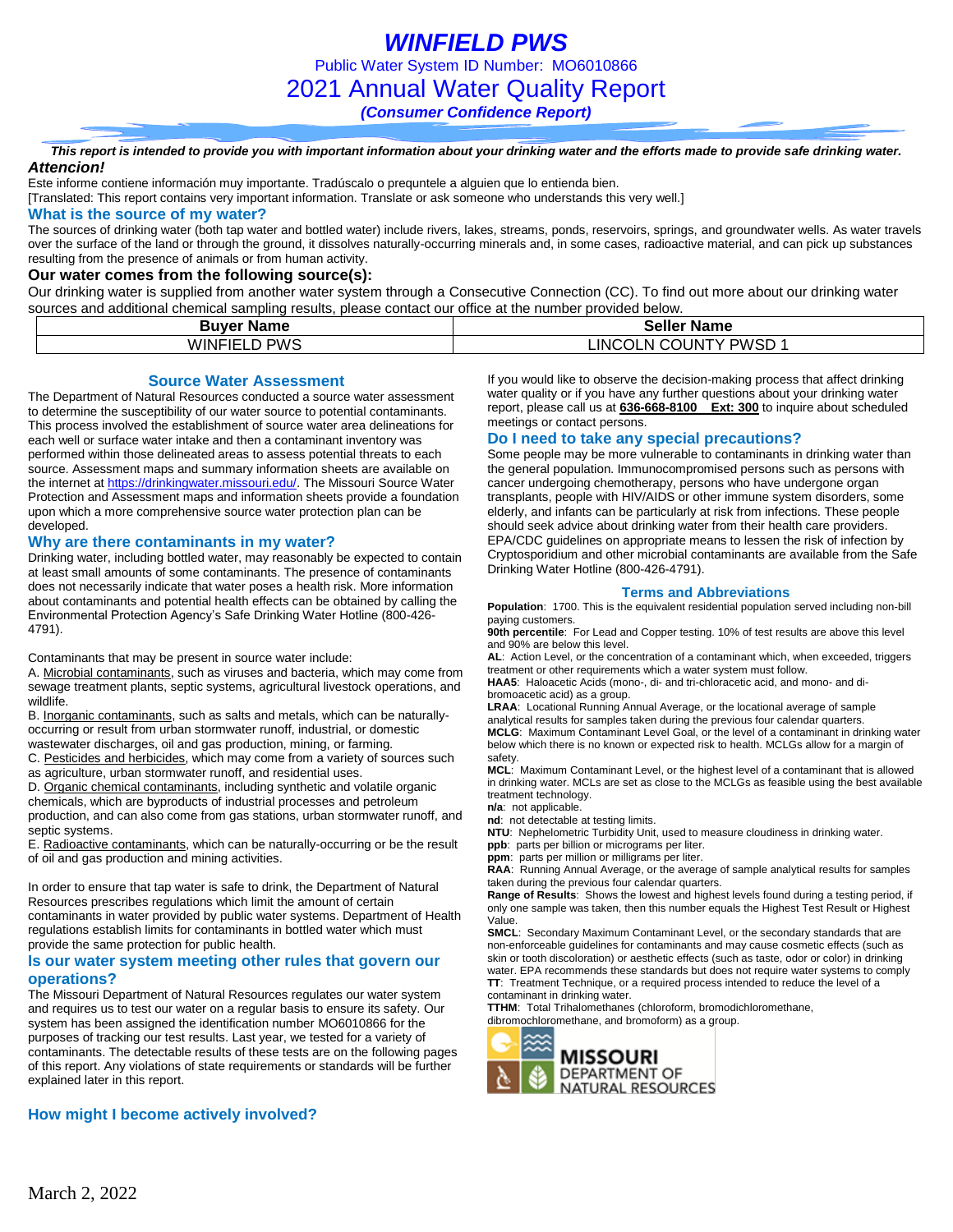*This report is intended to provide you with important information about your drinking water and the efforts made to provide safe drinking water. Attencion!*

Este informe contiene información muy importante. Tradúscalo o prequntele a alguien que lo entienda bien.

[Translated: This report contains very important information. Translate or ask someone who understands this very well.]

#### **What is the source of my water?**

The sources of drinking water (both tap water and bottled water) include rivers, lakes, streams, ponds, reservoirs, springs, and groundwater wells. As water travels over the surface of the land or through the ground, it dissolves naturally-occurring minerals and, in some cases, radioactive material, and can pick up substances resulting from the presence of animals or from human activity.

#### **Our water comes from the following source(s):**

Our drinking water is supplied from another water system through a Consecutive Connection (CC). To find out more about our drinking water sources and additional chemical sampling results, please contact our office at the number provided below.

| Buver          | Seller      |  |  |  |  |
|----------------|-------------|--|--|--|--|
| <b>Name</b>    | <b>Name</b> |  |  |  |  |
| <b>PWS</b>     | PWSD        |  |  |  |  |
| <b>WINFIEI</b> | LINC        |  |  |  |  |
| -              | . COUNT'    |  |  |  |  |
| ~              | ∴∪OLN (∵    |  |  |  |  |

**Source Water Assessment**

The Department of Natural Resources conducted a source water assessment to determine the susceptibility of our water source to potential contaminants. This process involved the establishment of source water area delineations for each well or surface water intake and then a contaminant inventory was performed within those delineated areas to assess potential threats to each source. Assessment maps and summary information sheets are available on the internet a[t https://drinkingwater.missouri.edu/.](https://drinkingwater.missouri.edu/) The Missouri Source Water Protection and Assessment maps and information sheets provide a foundation upon which a more comprehensive source water protection plan can be developed.

#### **Why are there contaminants in my water?**

Drinking water, including bottled water, may reasonably be expected to contain at least small amounts of some contaminants. The presence of contaminants does not necessarily indicate that water poses a health risk. More information about contaminants and potential health effects can be obtained by calling the Environmental Protection Agency's Safe Drinking Water Hotline (800-426- 4791).

Contaminants that may be present in source water include:

A. Microbial contaminants, such as viruses and bacteria, which may come from sewage treatment plants, septic systems, agricultural livestock operations, and wildlife.

B. Inorganic contaminants, such as salts and metals, which can be naturallyoccurring or result from urban stormwater runoff, industrial, or domestic wastewater discharges, oil and gas production, mining, or farming.

C. Pesticides and herbicides, which may come from a variety of sources such

as agriculture, urban stormwater runoff, and residential uses.

D. Organic chemical contaminants, including synthetic and volatile organic chemicals, which are byproducts of industrial processes and petroleum production, and can also come from gas stations, urban stormwater runoff, and septic systems.

E. Radioactive contaminants, which can be naturally-occurring or be the result of oil and gas production and mining activities.

In order to ensure that tap water is safe to drink, the Department of Natural Resources prescribes regulations which limit the amount of certain contaminants in water provided by public water systems. Department of Health regulations establish limits for contaminants in bottled water which must provide the same protection for public health.

### **Is our water system meeting other rules that govern our operations?**

The Missouri Department of Natural Resources regulates our water system and requires us to test our water on a regular basis to ensure its safety. Our system has been assigned the identification number MO6010866 for the purposes of tracking our test results. Last year, we tested for a variety of contaminants. The detectable results of these tests are on the following pages of this report. Any violations of state requirements or standards will be further explained later in this report.

### **How might I become actively involved?**

If you would like to observe the decision-making process that affect drinking water quality or if you have any further questions about your drinking water report, please call us at **636-668-8100 Ext: 300** to inquire about scheduled meetings or contact persons.

### **Do I need to take any special precautions?**

Some people may be more vulnerable to contaminants in drinking water than the general population. Immunocompromised persons such as persons with cancer undergoing chemotherapy, persons who have undergone organ transplants, people with HIV/AIDS or other immune system disorders, some elderly, and infants can be particularly at risk from infections. These people should seek advice about drinking water from their health care providers. EPA/CDC guidelines on appropriate means to lessen the risk of infection by Cryptosporidium and other microbial contaminants are available from the Safe Drinking Water Hotline (800-426-4791).

#### **Terms and Abbreviations**

**Population**: 1700. This is the equivalent residential population served including non-bill paying customers.

**90th percentile**: For Lead and Copper testing. 10% of test results are above this level and 90% are below this level.

**AL**: Action Level, or the concentration of a contaminant which, when exceeded, triggers treatment or other requirements which a water system must follow.

**HAA5**: Haloacetic Acids (mono-, di- and tri-chloracetic acid, and mono- and dibromoacetic acid) as a group.

**LRAA**: Locational Running Annual Average, or the locational average of sample analytical results for samples taken during the previous four calendar quarters. **MCLG**: Maximum Contaminant Level Goal, or the level of a contaminant in drinking water below which there is no known or expected risk to health. MCLGs allow for a margin of safety. **MCL**: Maximum Contaminant Level, or the highest level of a contaminant that is allowed

in drinking water. MCLs are set as close to the MCLGs as feasible using the best available treatment technology.

**n/a**: not applicable.

**nd**: not detectable at testing limits.

**NTU**: Nephelometric Turbidity Unit, used to measure cloudiness in drinking water. **ppb**: parts per billion or micrograms per liter.

**ppm**: parts per million or milligrams per liter.

**RAA**: Running Annual Average, or the average of sample analytical results for samples taken during the previous four calendar quarters.

**Range of Results**: Shows the lowest and highest levels found during a testing period, if only one sample was taken, then this number equals the Highest Test Result or Highest Value.

**SMCL**: Secondary Maximum Contaminant Level, or the secondary standards that are non-enforceable guidelines for contaminants and may cause cosmetic effects (such as skin or tooth discoloration) or aesthetic effects (such as taste, odor or color) in drinking water. EPA recommends these standards but does not require water systems to comply **TT**: Treatment Technique, or a required process intended to reduce the level of a contaminant in drinking water.

**TTHM**: Total Trihalomethanes (chloroform, bromodichloromethane, dibromochloromethane, and bromoform) as a group.

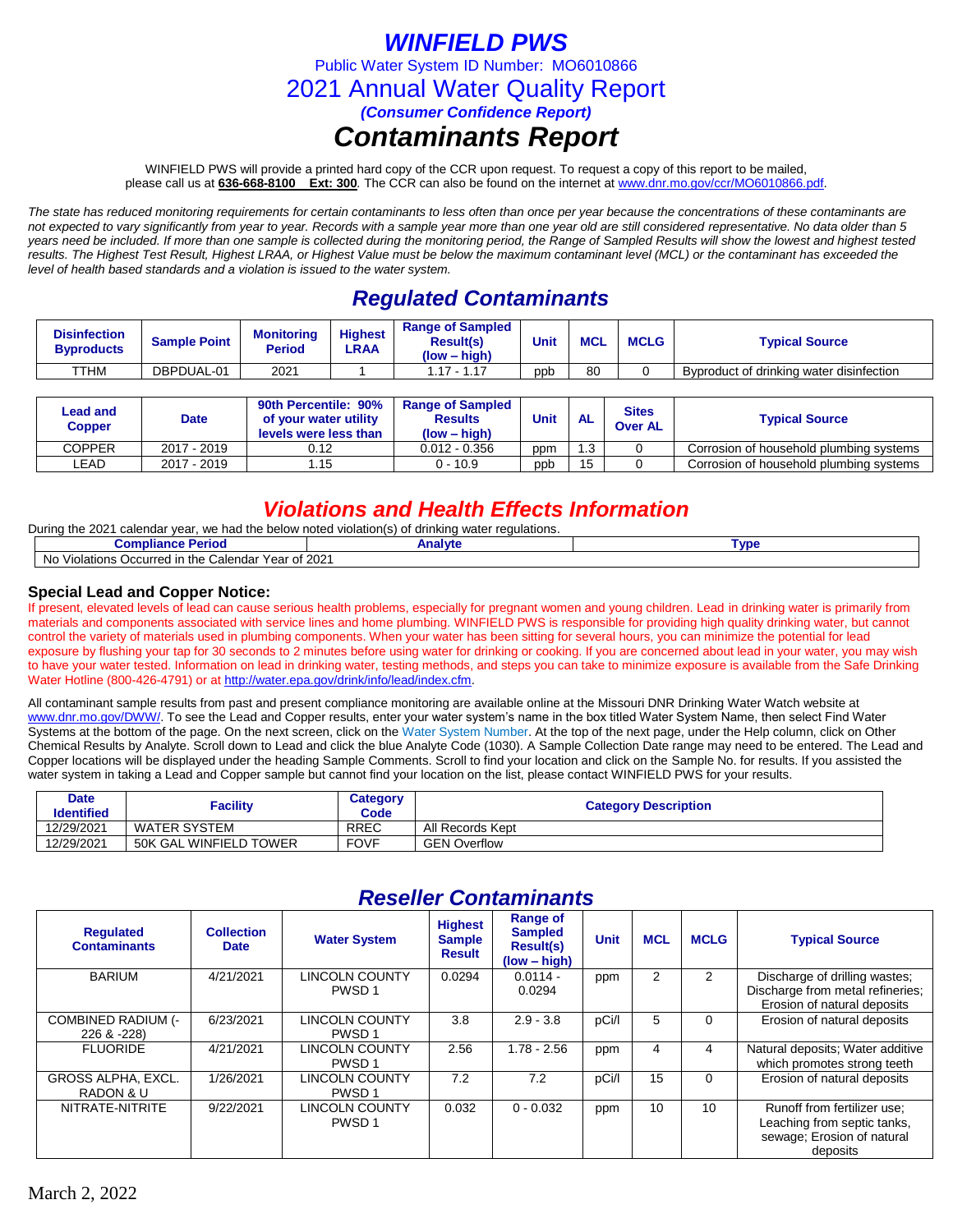# *WINFIELD PWS*

Public Water System ID Number: MO6010866

2021 Annual Water Quality Report

*(Consumer Confidence Report)*

## *Contaminants Report*

WINFIELD PWS will provide a printed hard copy of the CCR upon request. To request a copy of this report to be mailed, please call us at **636-668-8100 Ext: 300***.* The CCR can also be found on the internet at www.dnr.mo.gov/ccr/MO6010866.pdf.

*The state has reduced monitoring requirements for certain contaminants to less often than once per year because the concentrations of these contaminants are not expected to vary significantly from year to year. Records with a sample year more than one year old are still considered representative. No data older than 5*  years need be included. If more than one sample is collected during the monitoring period, the Range of Sampled Results will show the lowest and highest tested *results. The Highest Test Result, Highest LRAA, or Highest Value must be below the maximum contaminant level (MCL) or the contaminant has exceeded the level of health based standards and a violation is issued to the water system.* 

## *Regulated Contaminants*

| <b>Disinfection</b><br><b>Byproducts</b> | <b>Sample Point</b> | Monitorina<br>Period | <b>Highest</b><br>LRAA | <b>Range of Sampled</b><br><b>Result(s)</b><br>(low – high) | Unit | <b>MCL</b> | <b>MCLG</b> | <b>Typical Source</b>                    |
|------------------------------------------|---------------------|----------------------|------------------------|-------------------------------------------------------------|------|------------|-------------|------------------------------------------|
| <b>TTHM</b>                              | DBPDUAL-01          | 2021                 |                        | $1.17 - 1.17$                                               | ppb  | 80         |             | Byproduct of drinking water disinfection |

| Lead and<br><b>Copper</b> | <b>Date</b> | 90th Percentile: 90%<br>of your water utility<br>levels were less than | <b>Range of Sampled</b><br><b>Results</b><br>$(low - high)$ | <b>Unit</b> | <b>AL</b> | <b>Sites</b><br><b>Over AL</b> | <b>Typical Source</b>                   |
|---------------------------|-------------|------------------------------------------------------------------------|-------------------------------------------------------------|-------------|-----------|--------------------------------|-----------------------------------------|
| COPPER                    | 2017 - 2019 | 0.12                                                                   | $0.012 - 0.356$                                             | ppm         | 1.3       |                                | Corrosion of household plumbing systems |
| LEAD.                     | 2017 - 2019 | l.15                                                                   | $0 - 10.9$                                                  | ppb         | 15        |                                | Corrosion of household plumbing systems |

### *Violations and Health Effects Information*

During the 2021 calendar year, we had the below noted violation(s) of drinking water regulations.

| - -- -<br>Period<br>этона.                                                      | alvtı<br><b>ALLOY</b> | Гvɒ€ |  |  |  |  |
|---------------------------------------------------------------------------------|-----------------------|------|--|--|--|--|
| : Year of 2021<br>ı the<br>. Calendar<br>Occurred in '<br>N0<br>blations<br>Vic |                       |      |  |  |  |  |

### **Special Lead and Copper Notice:**

If present, elevated levels of lead can cause serious health problems, especially for pregnant women and young children. Lead in drinking water is primarily from materials and components associated with service lines and home plumbing. WINFIELD PWS is responsible for providing high quality drinking water, but cannot control the variety of materials used in plumbing components. When your water has been sitting for several hours, you can minimize the potential for lead exposure by flushing your tap for 30 seconds to 2 minutes before using water for drinking or cooking. If you are concerned about lead in your water, you may wish to have your water tested. Information on lead in drinking water, testing methods, and steps you can take to minimize exposure is available from the Safe Drinking Water Hotline (800-426-4791) or at [http://water.epa.gov/drink/info/lead/index.cfm.](http://water.epa.gov/drink/info/lead/index.cfm)

All contaminant sample results from past and present compliance monitoring are available online at the Missouri DNR Drinking Water Watch website at [www.dnr.mo.gov/DWW/.](http://www.dnr.mo.gov/DWW/) To see the Lead and Copper results, enter your water system's name in the box titled Water System Name, then select Find Water Systems at the bottom of the page. On the next screen, click on the Water System Number. At the top of the next page, under the Help column, click on Other Chemical Results by Analyte. Scroll down to Lead and click the blue Analyte Code (1030). A Sample Collection Date range may need to be entered. The Lead and Copper locations will be displayed under the heading Sample Comments. Scroll to find your location and click on the Sample No. for results. If you assisted the water system in taking a Lead and Copper sample but cannot find your location on the list, please contact WINFIELD PWS for your results.

| Date<br><b>Identified</b> | Facility               | Category<br>Code | <b>Category Description</b> |
|---------------------------|------------------------|------------------|-----------------------------|
| 12/29/2021                | WATER SYSTEM           | <b>RREC</b>      | All Records Kept            |
| 12/29/2021                | 50K GAL WINFIELD TOWER | <b>FOVF</b>      | <b>GEN Overflow</b>         |

| лезенег оспантаниз                      |                                  |                                            |                                                  |                                                                  |             |            |             |                                                                                                      |  |  |
|-----------------------------------------|----------------------------------|--------------------------------------------|--------------------------------------------------|------------------------------------------------------------------|-------------|------------|-------------|------------------------------------------------------------------------------------------------------|--|--|
| <b>Requlated</b><br><b>Contaminants</b> | <b>Collection</b><br><b>Date</b> | <b>Water System</b>                        | <b>Highest</b><br><b>Sample</b><br><b>Result</b> | Range of<br><b>Sampled</b><br><b>Result(s)</b><br>$(low - high)$ | <b>Unit</b> | <b>MCL</b> | <b>MCLG</b> | <b>Typical Source</b>                                                                                |  |  |
| <b>BARIUM</b>                           | 4/21/2021                        | <b>LINCOLN COUNTY</b><br>PWSD <sub>1</sub> | 0.0294                                           | $0.0114 -$<br>0.0294                                             | ppm         | 2          | 2           | Discharge of drilling wastes;<br>Discharge from metal refineries;<br>Erosion of natural deposits     |  |  |
| COMBINED RADIUM (-<br>226 & -228)       | 6/23/2021                        | LINCOLN COUNTY<br>PWSD <sub>1</sub>        | 3.8                                              | $2.9 - 3.8$                                                      | pCi/l       | 5          | 0           | Erosion of natural deposits                                                                          |  |  |
| <b>FLUORIDE</b>                         | 4/21/2021                        | LINCOLN COUNTY<br>PWSD <sub>1</sub>        | 2.56                                             | $1.78 - 2.56$                                                    | ppm         | 4          | 4           | Natural deposits; Water additive<br>which promotes strong teeth                                      |  |  |
| <b>GROSS ALPHA, EXCL.</b><br>RADON & U  | 1/26/2021                        | <b>LINCOLN COUNTY</b><br>PWSD <sub>1</sub> | 7.2                                              | 7.2                                                              | pCi/l       | 15         | $\Omega$    | Erosion of natural deposits                                                                          |  |  |
| NITRATE-NITRITE                         | 9/22/2021                        | <b>LINCOLN COUNTY</b><br>PWSD <sub>1</sub> | 0.032                                            | $0 - 0.032$                                                      | ppm         | 10         | 10          | Runoff from fertilizer use;<br>Leaching from septic tanks,<br>sewage; Erosion of natural<br>deposits |  |  |

### *Reseller Contaminants*